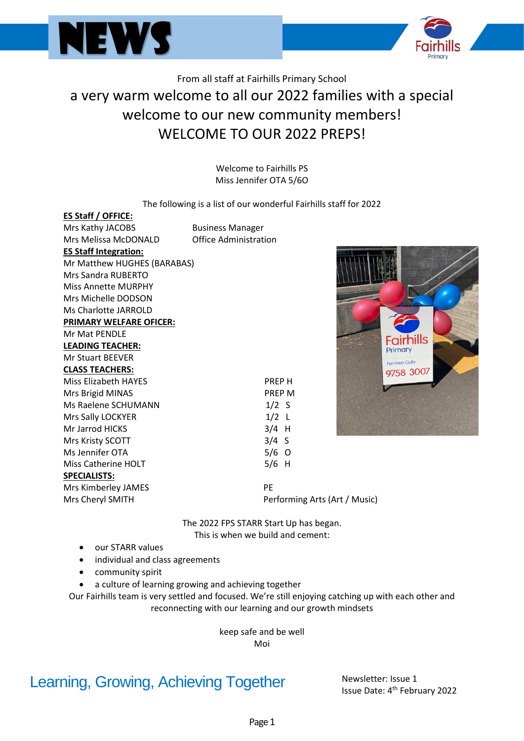



## From all staff at Fairhills Primary School a very warm welcome to all our 2022 families with a special welcome to our new community members! WELCOME TO OUR 2022 PREPS!

Welcome to Fairhills PS Miss Jennifer OTA 5/6O

#### The following is a list of our wonderful Fairhills staff for 2022

| <b>ES Staff / OFFICE:</b>      |                         |                               |  |
|--------------------------------|-------------------------|-------------------------------|--|
| Mrs Kathy JACOBS               | <b>Business Manager</b> |                               |  |
| Mrs Melissa McDONALD           | Office Administration   |                               |  |
| <b>ES Staff Integration:</b>   |                         |                               |  |
| Mr Matthew HUGHES (BARABAS)    |                         |                               |  |
| Mrs Sandra RUBERTO             |                         |                               |  |
| <b>Miss Annette MURPHY</b>     |                         |                               |  |
| Mrs Michelle DODSON            |                         |                               |  |
| Ms Charlotte JARROLD           |                         |                               |  |
| <b>PRIMARY WELFARE OFICER:</b> |                         |                               |  |
| <b>Mr Mat PENDLE</b>           |                         |                               |  |
| <b>LEADING TEACHER:</b>        |                         |                               |  |
| <b>Mr Stuart BEEVER</b>        |                         |                               |  |
| <b>CLASS TEACHERS:</b>         |                         |                               |  |
| <b>Miss Elizabeth HAYES</b>    |                         | <b>PREPH</b>                  |  |
| Mrs Brigid MINAS               |                         | <b>PREP M</b>                 |  |
| Ms Raelene SCHUMANN            |                         | $1/2$ S                       |  |
| Mrs Sally LOCKYER              |                         | $1/2$ L                       |  |
| Mr Jarrod HICKS                |                         | $3/4$ H                       |  |
| Mrs Kristy SCOTT               |                         | $3/4$ S                       |  |
| Ms Jennifer OTA                |                         | $5/6$ O                       |  |
| <b>Miss Catherine HOLT</b>     |                         | $5/6$ H                       |  |
| <b>SPECIALISTS:</b>            |                         |                               |  |
| Mrs Kimberley JAMES            |                         | PE                            |  |
| Mrs Cheryl SMITH               |                         | Performing Arts (Art / Music) |  |
|                                |                         |                               |  |

The 2022 FPS STARR Start Up has began. This is when we build and cement:

- our STARR values
- individual and class agreements
- community spirit
- a culture of learning growing and achieving together

Our Fairhills team is very settled and focused. We're still enjoying catching up with each other and reconnecting with our learning and our growth mindsets

> keep safe and be well Moi

## Learning, Growing, Achieving Together Newsletter: Issue 1

Issue Date: 4<sup>th</sup> February 2022

Primary Ferntree Gully 9758 3007